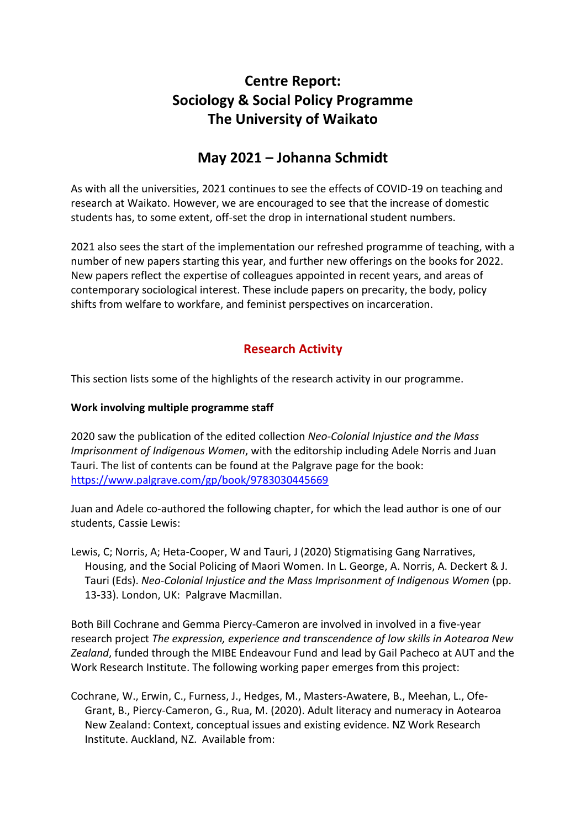# **Centre Report: Sociology & Social Policy Programme The University of Waikato**

## **May 2021 – Johanna Schmidt**

As with all the universities, 2021 continues to see the effects of COVID-19 on teaching and research at Waikato. However, we are encouraged to see that the increase of domestic students has, to some extent, off-set the drop in international student numbers.

2021 also sees the start of the implementation our refreshed programme of teaching, with a number of new papers starting this year, and further new offerings on the books for 2022. New papers reflect the expertise of colleagues appointed in recent years, and areas of contemporary sociological interest. These include papers on precarity, the body, policy shifts from welfare to workfare, and feminist perspectives on incarceration.

## **Research Activity**

This section lists some of the highlights of the research activity in our programme.

#### **Work involving multiple programme staff**

2020 saw the publication of the edited collection *Neo-Colonial Injustice and the Mass Imprisonment of Indigenous Women*, with the editorship including Adele Norris and Juan Tauri. The list of contents can be found at the Palgrave page for the book: <https://www.palgrave.com/gp/book/9783030445669>

Juan and Adele co-authored the following chapter, for which the lead author is one of our students, Cassie Lewis:

Lewis, C; Norris, A; Heta-Cooper, W and Tauri, J (2020) Stigmatising Gang Narratives, Housing, and the Social Policing of Maori Women. In L. George, A. Norris, A. Deckert & J. Tauri (Eds). *Neo-Colonial Injustice and the Mass Imprisonment of Indigenous Women* (pp. 13-33). London, UK: Palgrave Macmillan.

Both Bill Cochrane and Gemma Piercy-Cameron are involved in involved in a five-year research project *The expression, experience and transcendence of low skills in Aotearoa New Zealand*, funded through the MIBE Endeavour Fund and lead by Gail Pacheco at AUT and the Work Research Institute. The following working paper emerges from this project:

Cochrane, W., Erwin, C., Furness, J., Hedges, M., Masters-Awatere, B., Meehan, L., Ofe-Grant, B., Piercy-Cameron, G., Rua, M. (2020). Adult literacy and numeracy in Aotearoa New Zealand: Context, conceptual issues and existing evidence. NZ Work Research Institute. Auckland, NZ. Available from: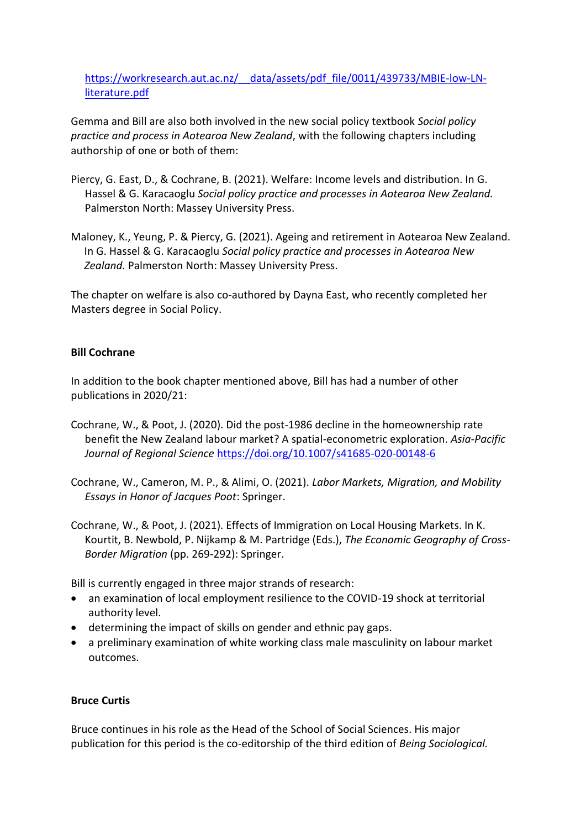[https://workresearch.aut.ac.nz/\\_\\_data/assets/pdf\\_file/0011/439733/MBIE-low-LN](https://workresearch.aut.ac.nz/__data/assets/pdf_file/0011/439733/MBIE-low-LN-literature.pdf)[literature.pdf](https://workresearch.aut.ac.nz/__data/assets/pdf_file/0011/439733/MBIE-low-LN-literature.pdf)

Gemma and Bill are also both involved in the new social policy textbook *Social policy practice and process in Aotearoa New Zealand*, with the following chapters including authorship of one or both of them:

- Piercy, G. East, D., & Cochrane, B. (2021). Welfare: Income levels and distribution. In G. Hassel & G. Karacaoglu *Social policy practice and processes in Aotearoa New Zealand.* Palmerston North: Massey University Press.
- Maloney, K., Yeung, P. & Piercy, G. (2021). Ageing and retirement in Aotearoa New Zealand. In G. Hassel & G. Karacaoglu *Social policy practice and processes in Aotearoa New Zealand.* Palmerston North: Massey University Press.

The chapter on welfare is also co-authored by Dayna East, who recently completed her Masters degree in Social Policy.

#### **Bill Cochrane**

In addition to the book chapter mentioned above, Bill has had a number of other publications in 2020/21:

- Cochrane, W., & Poot, J. (2020). Did the post-1986 decline in the homeownership rate benefit the New Zealand labour market? A spatial-econometric exploration. *Asia-Pacific Journal of Regional Science* <https://doi.org/10.1007/s41685-020-00148-6>
- Cochrane, W., Cameron, M. P., & Alimi, O. (2021). *Labor Markets, Migration, and Mobility Essays in Honor of Jacques Poot*: Springer.
- Cochrane, W., & Poot, J. (2021). Effects of Immigration on Local Housing Markets. In K. Kourtit, B. Newbold, P. Nijkamp & M. Partridge (Eds.), *The Economic Geography of Cross-Border Migration* (pp. 269-292): Springer.

Bill is currently engaged in three major strands of research:

- an examination of local employment resilience to the COVID-19 shock at territorial authority level.
- determining the impact of skills on gender and ethnic pay gaps.
- a preliminary examination of white working class male masculinity on labour market outcomes.

#### **Bruce Curtis**

Bruce continues in his role as the Head of the School of Social Sciences. His major publication for this period is the co-editorship of the third edition of *Being Sociological.*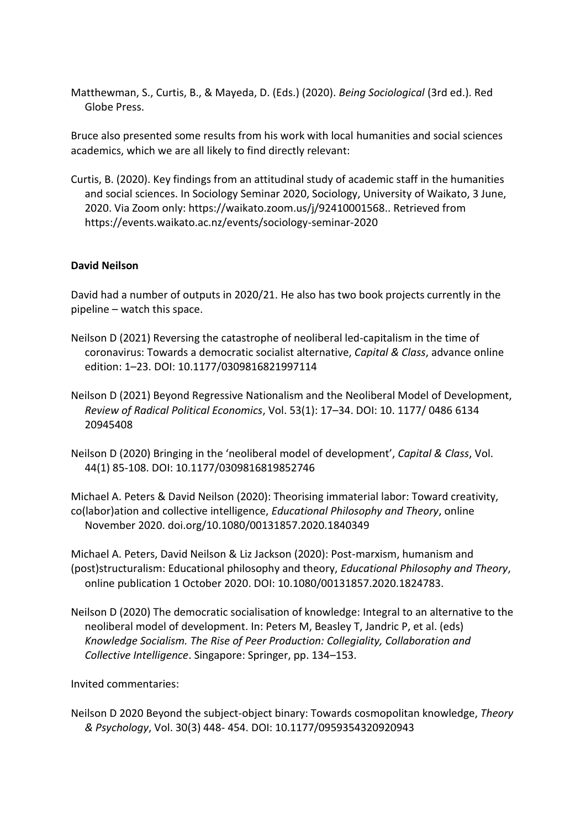Matthewman, S., Curtis, B., & Mayeda, D. (Eds.) (2020). *Being Sociological* (3rd ed.). Red Globe Press.

Bruce also presented some results from his work with local humanities and social sciences academics, which we are all likely to find directly relevant:

Curtis, B. (2020). Key findings from an attitudinal study of academic staff in the humanities and social sciences. In Sociology Seminar 2020, Sociology, University of Waikato, 3 June, 2020. Via Zoom only: https://waikato.zoom.us/j/92410001568.. Retrieved from https://events.waikato.ac.nz/events/sociology-seminar-2020

#### **David Neilson**

David had a number of outputs in 2020/21. He also has two book projects currently in the pipeline – watch this space.

- Neilson D (2021) Reversing the catastrophe of neoliberal led-capitalism in the time of coronavirus: Towards a democratic socialist alternative, *Capital & Class*, advance online edition: 1–23. DOI: 10.1177/0309816821997114
- Neilson D (2021) Beyond Regressive Nationalism and the Neoliberal Model of Development, *Review of Radical Political Economics*, Vol. 53(1): 17–34. DOI: 10. 1177/ 0486 6134 20945408
- Neilson D (2020) Bringing in the 'neoliberal model of development', *Capital & Class*, Vol. 44(1) 85-108. DOI: 10.1177/0309816819852746

Michael A. Peters & David Neilson (2020): Theorising immaterial labor: Toward creativity, co(labor)ation and collective intelligence, *Educational Philosophy and Theory*, online November 2020. doi.org/10.1080/00131857.2020.1840349

Michael A. Peters, David Neilson & Liz Jackson (2020): Post-marxism, humanism and (post)structuralism: Educational philosophy and theory, *Educational Philosophy and Theory*, online publication 1 October 2020. DOI: 10.1080/00131857.2020.1824783.

Neilson D (2020) The democratic socialisation of knowledge: Integral to an alternative to the neoliberal model of development. In: Peters M, Beasley T, Jandric P, et al. (eds) *Knowledge Socialism. The Rise of Peer Production: Collegiality, Collaboration and Collective Intelligence*. Singapore: Springer, pp. 134–153.

Invited commentaries:

Neilson D 2020 Beyond the subject-object binary: Towards cosmopolitan knowledge, *Theory & Psychology*, Vol. 30(3) 448- 454. DOI: 10.1177/0959354320920943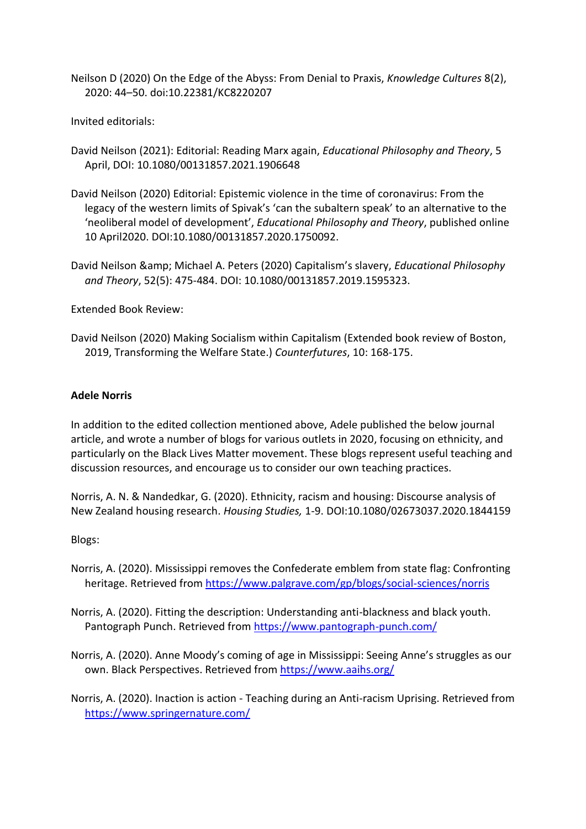Neilson D (2020) On the Edge of the Abyss: From Denial to Praxis, *Knowledge Cultures* 8(2), 2020: 44–50. doi:10.22381/KC8220207

Invited editorials:

- David Neilson (2021): Editorial: Reading Marx again, *Educational Philosophy and Theory*, 5 April, DOI: 10.1080/00131857.2021.1906648
- David Neilson (2020) Editorial: Epistemic violence in the time of coronavirus: From the legacy of the western limits of Spivak's 'can the subaltern speak' to an alternative to the 'neoliberal model of development', *Educational Philosophy and Theory*, published online 10 April2020. DOI:10.1080/00131857.2020.1750092.
- David Neilson & Michael A. Peters (2020) Capitalism's slavery, *Educational Philosophy and Theory*, 52(5): 475-484. DOI: 10.1080/00131857.2019.1595323.

Extended Book Review:

David Neilson (2020) Making Socialism within Capitalism (Extended book review of Boston, 2019, Transforming the Welfare State.) *Counterfutures*, 10: 168-175.

#### **Adele Norris**

In addition to the edited collection mentioned above, Adele published the below journal article, and wrote a number of blogs for various outlets in 2020, focusing on ethnicity, and particularly on the Black Lives Matter movement. These blogs represent useful teaching and discussion resources, and encourage us to consider our own teaching practices.

Norris, A. N. & Nandedkar, G. (2020). Ethnicity, racism and housing: Discourse analysis of New Zealand housing research. *Housing Studies,* 1-9. DOI:10.1080/02673037.2020.1844159

#### Blogs:

- Norris, A. (2020). Mississippi removes the Confederate emblem from state flag: Confronting heritage. Retrieved from<https://www.palgrave.com/gp/blogs/social-sciences/norris>
- Norris, A. (2020). Fitting the description: Understanding anti-blackness and black youth. Pantograph Punch. Retrieved from<https://www.pantograph-punch.com/>
- Norris, A. (2020). Anne Moody's coming of age in Mississippi: Seeing Anne's struggles as our own. Black Perspectives. Retrieved from<https://www.aaihs.org/>

Norris, A. (2020). Inaction is action - Teaching during an Anti-racism Uprising. Retrieved from <https://www.springernature.com/>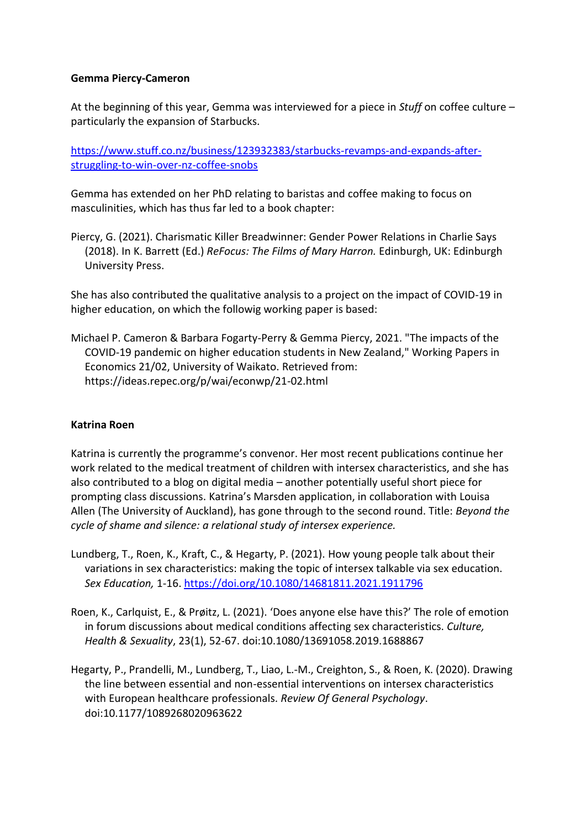#### **Gemma Piercy-Cameron**

At the beginning of this year, Gemma was interviewed for a piece in *Stuff* on coffee culture – particularly the expansion of Starbucks.

[https://www.stuff.co.nz/business/123932383/starbucks-revamps-and-expands-after](https://www.stuff.co.nz/business/123932383/starbucks-revamps-and-expands-after-struggling-to-win-over-nz-coffee-snobs)[struggling-to-win-over-nz-coffee-snobs](https://www.stuff.co.nz/business/123932383/starbucks-revamps-and-expands-after-struggling-to-win-over-nz-coffee-snobs)

Gemma has extended on her PhD relating to baristas and coffee making to focus on masculinities, which has thus far led to a book chapter:

Piercy, G. (2021). Charismatic Killer Breadwinner: Gender Power Relations in Charlie Says (2018). In K. Barrett (Ed.) *ReFocus: The Films of Mary Harron.* Edinburgh, UK: Edinburgh University Press.

She has also contributed the qualitative analysis to a project on the impact of COVID-19 in higher education, on which the followig working paper is based:

Michael P. Cameron & Barbara Fogarty-Perry & Gemma Piercy, 2021. "The impacts of the COVID-19 pandemic on higher education students in New Zealand," Working Papers in Economics 21/02, University of Waikato. Retrieved from: https://ideas.repec.org/p/wai/econwp/21-02.html

#### **Katrina Roen**

Katrina is currently the programme's convenor. Her most recent publications continue her work related to the medical treatment of children with intersex characteristics, and she has also contributed to a blog on digital media – another potentially useful short piece for prompting class discussions. Katrina's Marsden application, in collaboration with Louisa Allen (The University of Auckland), has gone through to the second round. Title: *Beyond the cycle of shame and silence: a relational study of intersex experience.*

- Lundberg, T., Roen, K., Kraft, C., & Hegarty, P. (2021). How young people talk about their variations in sex characteristics: making the topic of intersex talkable via sex education. *Sex Education,* 1-16.<https://doi.org/10.1080/14681811.2021.1911796>
- Roen, K., Carlquist, E., & Prøitz, L. (2021). 'Does anyone else have this?' The role of emotion in forum discussions about medical conditions affecting sex characteristics. *Culture, Health & Sexuality*, 23(1), 52-67. doi:10.1080/13691058.2019.1688867
- Hegarty, P., Prandelli, M., Lundberg, T., Liao, L.-M., Creighton, S., & Roen, K. (2020). Drawing the line between essential and non-essential interventions on intersex characteristics with European healthcare professionals. *Review Of General Psychology*. doi:10.1177/1089268020963622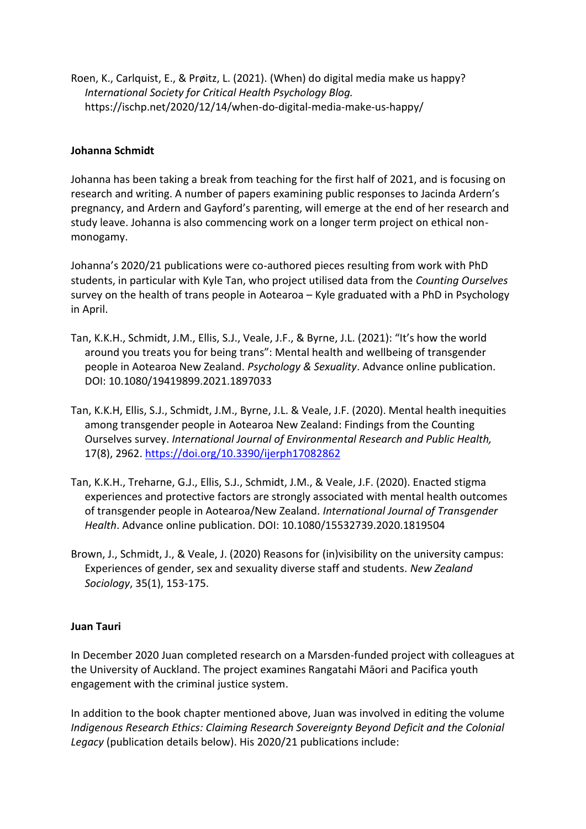Roen, K., Carlquist, E., & Prøitz, L. (2021). (When) do digital media make us happy? *International Society for Critical Health Psychology Blog.* https://ischp.net/2020/12/14/when-do-digital-media-make-us-happy/

#### **Johanna Schmidt**

Johanna has been taking a break from teaching for the first half of 2021, and is focusing on research and writing. A number of papers examining public responses to Jacinda Ardern's pregnancy, and Ardern and Gayford's parenting, will emerge at the end of her research and study leave. Johanna is also commencing work on a longer term project on ethical nonmonogamy.

Johanna's 2020/21 publications were co-authored pieces resulting from work with PhD students, in particular with Kyle Tan, who project utilised data from the *Counting Ourselves* survey on the health of trans people in Aotearoa – Kyle graduated with a PhD in Psychology in April.

- Tan, K.K.H., Schmidt, J.M., Ellis, S.J., Veale, J.F., & Byrne, J.L. (2021): "It's how the world around you treats you for being trans": Mental health and wellbeing of transgender people in Aotearoa New Zealand. *Psychology & Sexuality*. Advance online publication. DOI: 10.1080/19419899.2021.1897033
- Tan, K.K.H, Ellis, S.J., Schmidt, J.M., Byrne, J.L. & Veale, J.F. (2020). Mental health inequities among transgender people in Aotearoa New Zealand: Findings from the Counting Ourselves survey. *International Journal of Environmental Research and Public Health,*  17(8), 2962.<https://doi.org/10.3390/ijerph17082862>
- Tan, K.K.H., Treharne, G.J., Ellis, S.J., Schmidt, J.M., & Veale, J.F. (2020). Enacted stigma experiences and protective factors are strongly associated with mental health outcomes of transgender people in Aotearoa/New Zealand. *International Journal of Transgender Health*. Advance online publication. DOI: 10.1080/15532739.2020.1819504
- Brown, J., Schmidt, J., & Veale, J. (2020) Reasons for (in)visibility on the university campus: Experiences of gender, sex and sexuality diverse staff and students. *New Zealand Sociology*, 35(1), 153-175.

#### **Juan Tauri**

In December 2020 Juan completed research on a Marsden-funded project with colleagues at the University of Auckland. The project examines Rangatahi Māori and Pacifica youth engagement with the criminal justice system.

In addition to the book chapter mentioned above, Juan was involved in editing the volume *Indigenous Research Ethics: Claiming Research Sovereignty Beyond Deficit and the Colonial Legacy* (publication details below). His 2020/21 publications include: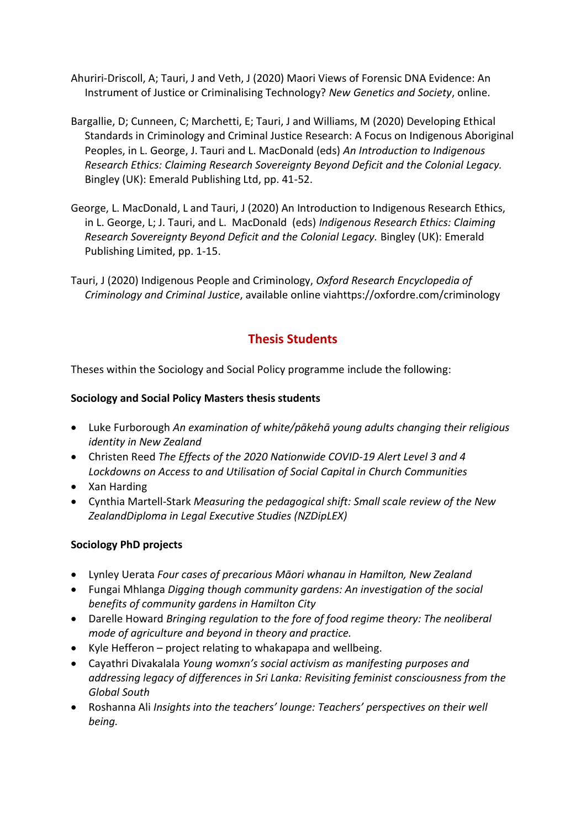- Ahuriri-Driscoll, A; Tauri, J and Veth, J (2020) Maori Views of Forensic DNA Evidence: An Instrument of Justice or Criminalising Technology? *New Genetics and Society*, online.
- Bargallie, D; Cunneen, C; Marchetti, E; Tauri, J and Williams, M (2020) Developing Ethical Standards in Criminology and Criminal Justice Research: A Focus on Indigenous Aboriginal Peoples, in L. George, J. Tauri and L. MacDonald (eds) *An Introduction to Indigenous Research Ethics: Claiming Research Sovereignty Beyond Deficit and the Colonial Legacy.* Bingley (UK): Emerald Publishing Ltd, pp. 41-52.
- George, L. MacDonald, L and Tauri, J (2020) An Introduction to Indigenous Research Ethics, in L. George, L; J. Tauri, and L. MacDonald (eds) *Indigenous Research Ethics: Claiming Research Sovereignty Beyond Deficit and the Colonial Legacy.* Bingley (UK): Emerald Publishing Limited, pp. 1-15.
- Tauri, J (2020) Indigenous People and Criminology, *Oxford Research Encyclopedia of Criminology and Criminal Justice*, available online viahttps://oxfordre.com/criminology

## **Thesis Students**

Theses within the Sociology and Social Policy programme include the following:

### **Sociology and Social Policy Masters thesis students**

- Luke Furborough *An examination of white/pākehā young adults changing their religious identity in New Zealand*
- Christen Reed *The Effects of the 2020 Nationwide COVID-19 Alert Level 3 and 4 Lockdowns on Access to and Utilisation of Social Capital in Church Communities*
- Xan Harding
- Cynthia Martell-Stark *Measuring the pedagogical shift: Small scale review of the New ZealandDiploma in Legal Executive Studies (NZDipLEX)*

### **Sociology PhD projects**

- Lynley Uerata *Four cases of precarious Māori whanau in Hamilton, New Zealand*
- Fungai Mhlanga *Digging though community gardens: An investigation of the social benefits of community gardens in Hamilton City*
- Darelle Howard *Bringing regulation to the fore of food regime theory: The neoliberal mode of agriculture and beyond in theory and practice.*
- Kyle Hefferon project relating to whakapapa and wellbeing.
- Cayathri Divakalala *Young womxn's social activism as manifesting purposes and addressing legacy of differences in Sri Lanka: Revisiting feminist consciousness from the Global South*
- Roshanna Ali *Insights into the teachers' lounge: Teachers' perspectives on their well being.*